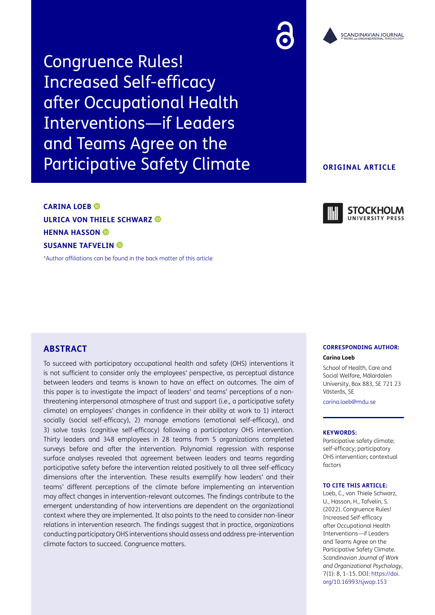Congruence Rules! Increased Self-efficacy after Occupational Health Interventions—if Leaders and Teams Agree on the Participative Safety Climate

### **ORIGINAL ARTICLE**

# **CARINA LOEB ULRICA VON THIELE SCHWARZ HENNA HASSON SUSANNE TAFVELIN**

[\\*Author affiliations can be found in the back matter of this article](#page-11-0)



## **ABSTRACT**

To succeed with participatory occupational health and safety (OHS) interventions it is not sufficient to consider only the employees' perspective, as perceptual distance between leaders and teams is known to have an effect on outcomes. The aim of this paper is to investigate the impact of leaders' and teams' perceptions of a nonthreatening interpersonal atmosphere of trust and support (i.e., a participative safety climate) on employees' changes in confidence in their ability at work to 1) interact socially (social self-efficacy), 2) manage emotions (emotional self-efficacy), and 3) solve tasks (cognitive self-efficacy) following a participatory OHS intervention. Thirty leaders and 348 employees in 28 teams from 5 organizations completed surveys before and after the intervention. Polynomial regression with response surface analyses revealed that agreement between leaders and teams regarding participative safety before the intervention related positively to all three self-efficacy dimensions after the intervention. These results exemplify how leaders' and their teams' different perceptions of the climate before implementing an intervention may affect changes in intervention-relevant outcomes. The findings contribute to the emergent understanding of how interventions are dependent on the organizational context where they are implemented. It also points to the need to consider non-linear relations in intervention research. The findings suggest that in practice, organizations conducting participatory OHS interventions should assess and address pre-intervention climate factors to succeed. Congruence matters.

#### **CORRESPONDING AUTHOR: Carina Loeb**

School of Health, Care and Social Welfare, Mälardalen University, Box 883, SE 721 23 Västerås, SE

[carina.loeb@mdu.se](mailto:carina.loeb@mdu.se)

#### **KEYWORDS:**

Participative safety climate; self-efficacy; participatory OHS intervention; contextual factors

#### **TO CITE THIS ARTICLE:**

Loeb, C., von Thiele Schwarz, U., Hasson, H., Tafvelin, S. (2022). Congruence Rules! Increased Self-efficacy after Occupational Health Interventions—if Leaders and Teams Agree on the Participative Safety Climate. *Scandinavian Journal of Work and Organizational Psychology,* 7(1): 8, 1–15. DOI: [https://doi.](https://doi.org/10.16993/sjwop.153) [org/10.16993/sjwop.153](https://doi.org/10.16993/sjwop.153)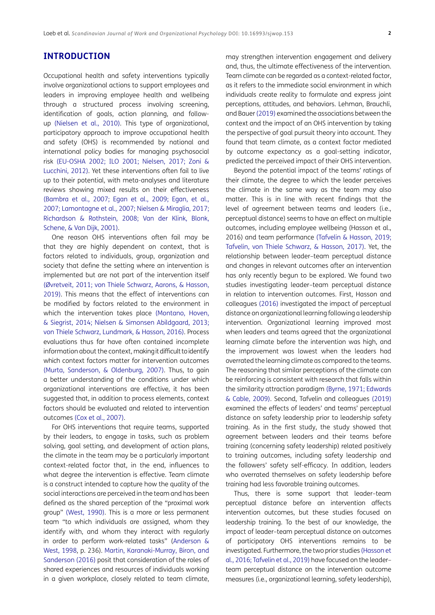### **INTRODUCTION**

Occupational health and safety interventions typically involve organizational actions to support employees and leaders in improving employee health and wellbeing through a structured process involving screening, identification of goals, action planning, and followup [\(Nielsen et al., 2010](#page-13-0)). This type of organizational, participatory approach to improve occupational health and safety (OHS) is recommended by national and international policy bodies for managing psychosocial risk (EU-OSHA 2002; [ILO 2001](#page-12-0); [Nielsen, 2017;](#page-13-1) [Zoni &](#page-14-0) [Lucchini, 2012\)](#page-14-0). Yet these interventions often fail to live up to their potential, with meta-analyses and literature reviews showing mixed results on their effectiveness [\(Bambra et al., 2007](#page-11-1); [Egan et al., 2009;](#page-12-1) [Egan, et al.,](#page-12-2) [2007](#page-12-2); [Lamontagne et al., 2007](#page-12-3); [Nielsen & Miraglia, 2017;](#page-13-2) [Richardson & Rothstein, 2008;](#page-13-3) [Van der Klink, Blonk,](#page-14-1) [Schene, & Van Dijk, 2001](#page-14-1)).

One reason OHS interventions often fail may be that they are highly dependent on context, that is factors related to individuals, group, organization and society that define the setting where an intervention is implemented but are not part of the intervention itself [\(Øvretveit, 2011](#page-14-2); [von Thiele Schwarz, Aarons, & Hasson,](#page-14-2) [2019](#page-14-2)). This means that the effect of interventions can be modified by factors related to the environment in which the intervention takes place ([Montano, Hoven,](#page-13-4) [& Siegrist, 2014](#page-13-4); [Nielsen & Simonsen Abildgaard, 2013](#page-13-5); [von Thiele Schwarz, Lundmark, & Hasson, 2016\)](#page-14-2). Process evaluations thus far have often contained incomplete information about the context, making it difficult to identify which context factors matter for intervention outcomes [\(Murta, Sanderson, & Oldenburg, 2007](#page-13-6)). Thus, to gain a better understanding of the conditions under which organizational interventions are effective, it has been suggested that, in addition to process elements, context factors should be evaluated and related to intervention outcomes ([Cox et al., 2007](#page-11-2)).

For OHS interventions that require teams, supported by their leaders, to engage in tasks, such as problem solving, goal setting, and development of action plans, the climate in the team may be a particularly important context-related factor that, in the end, influences to what degree the intervention is effective. Team climate is a construct intended to capture how the quality of the social interactions are perceived in the team and has been defined as the shared perception of the "proximal work group" [\(West, 1990](#page-14-3)). This is a more or less permanent team "to which individuals are assigned, whom they identify with, and whom they interact with regularly in order to perform work-related tasks" [\(Anderson &](#page-11-3) [West, 1998](#page-11-3), p. 236). [Martin, Karanaki-Murray, Biron, and](#page-13-7) [Sanderson \(2016\)](#page-13-7) posit that consideration of the roles of shared experiences and resources of individuals working in a given workplace, closely related to team climate,

may strengthen intervention engagement and delivery and, thus, the ultimate effectiveness of the intervention. Team climate can be regarded as a context-related factor, as it refers to the immediate social environment in which individuals create reality to formulate and express joint perceptions, attitudes, and behaviors. Lehman, Brauchli, and Bauer ([2019](#page-13-8)) examined the associations between the context and the impact of an OHS intervention by taking the perspective of goal pursuit theory into account. They found that team climate, as a context factor mediated by outcome expectancy as a goal-setting indicator, predicted the perceived impact of their OHS intervention.

Beyond the potential impact of the teams' ratings of their climate, the degree to which the leader perceives the climate in the same way as the team may also matter. This is in line with recent findings that the level of agreement between teams and leaders (i.e., perceptual distance) seems to have an effect on multiple outcomes, including employee wellbeing (Hasson et al., 2016) and team performance ([Tafvelin & Hasson, 2019;](#page-13-9) Tafvelin, von Thiele Schwarz, & Hasson, 2017). Yet, the relationship between leader–team perceptual distance and changes in relevant outcomes after an intervention has only recently begun to be explored. We found two studies investigating leader–team perceptual distance in relation to intervention outcomes. First, Hasson and colleagues ([2016](#page-12-4)) investigated the impact of perceptual distance on organizational learning following a leadership intervention. Organizational learning improved most when leaders and teams agreed that the organizational learning climate before the intervention was high, and the improvement was lowest when the leaders had overrated the learning climate as compared to the teams. The reasoning that similar perceptions of the climate can be reinforcing is consistent with research that falls within the similarity attraction paradigm [\(Byrne, 1971](#page-11-4); [Edwards](#page-12-5)  [& Cable, 2009\)](#page-12-5). Second, Tafvelin and colleagues (2019) examined the effects of leaders' and teams' perceptual distance on safety leadership prior to leadership safety training. As in the first study, the study showed that agreement between leaders and their teams before training (concerning safety leadership) related positively to training outcomes, including safety leadership and the followers' safety self-efficacy. In addition, leaders who overrated themselves on safety leadership before training had less favorable training outcomes.

Thus, there is some support that leader–team perceptual distance before an intervention affects intervention outcomes, but these studies focused on leadership training. To the best of our knowledge, the impact of leader–team perceptual distance on outcomes of participatory OHS interventions remains to be investigated. Furthermore, the two prior studies [\(Hasson et](#page-12-4)  [al., 2016](#page-12-4); Tafvelin et al., 2019) have focused on the leader– team perceptual distance on the intervention outcome measures (i.e., organizational learning, safety leadership),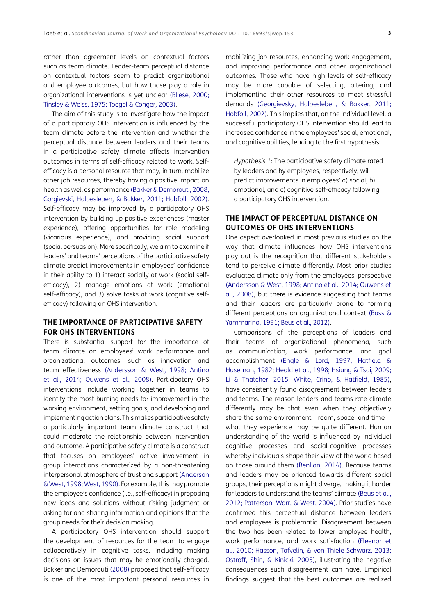rather than agreement levels on contextual factors such as team climate. Leader-team perceptual distance on contextual factors seem to predict organizational and employee outcomes, but how those play a role in organizational interventions is yet unclear ([Bliese, 2000](#page-11-5); [Tinsley & Weiss, 1975](#page-14-4); [Toegel & Conger, 2003](#page-14-5)).

The aim of this study is to investigate how the impact of a participatory OHS intervention is influenced by the team climate before the intervention and whether the perceptual distance between leaders and their teams in a participative safety climate affects intervention outcomes in terms of self-efficacy related to work. Selfefficacy is a personal resource that may, in turn, mobilize other job resources, thereby having a positive impact on health as well as performance ([Bakker & Demorouti, 2008](#page-11-6); [Gorgievski, Halbesleben, & Bakker, 2011;](#page-12-6) [Hobfoll, 2002](#page-12-7)). Self-efficacy may be improved by a participatory OHS intervention by building up positive experiences (master experience), offering opportunities for role modeling (vicarious experience), and providing social support (social persuasion). More specifically, we aim to examine if leaders' and teams' perceptions of the participative safety climate predict improvements in employees' confidence in their ability to 1) interact socially at work (social selfefficacy), 2) manage emotions at work (emotional self-efficacy), and 3) solve tasks at work (cognitive selfefficacy) following an OHS intervention.

### **THE IMPORTANCE OF PARTICIPATIVE SAFETY FOR OHS INTERVENTIONS**

There is substantial support for the importance of team climate on employees' work performance and organizational outcomes, such as innovation and team effectiveness [\(Andersson & West, 1998;](#page-11-3) [Antino](#page-11-7) [et al., 2014;](#page-11-7) [Ouwens et al., 2008](#page-13-10)). Participatory OHS interventions include working together in teams to identify the most burning needs for improvement in the working environment, setting goals, and developing and implementing action plans. This makes participative safety a particularly important team climate construct that could moderate the relationship between intervention and outcome. A participative safety climate is a construct that focuses on employees' active involvement in group interactions characterized by a non-threatening interpersonal atmosphere of trust and support [\(Anderson](#page-11-3) [& West, 1998](#page-11-3); [West, 1990](#page-14-3)). For example, this may promote the employee's confidence (i.e., self-efficacy) in proposing new ideas and solutions without risking judgment or asking for and sharing information and opinions that the group needs for their decision making.

A participatory OHS intervention should support the development of resources for the team to engage collaboratively in cognitive tasks, including making decisions on issues that may be emotionally charged. Bakker and Demorouti ([2008](#page-11-6)) proposed that self-efficacy is one of the most important personal resources in

mobilizing job resources, enhancing work engagement, and improving performance and other organizational outcomes. Those who have high levels of self-efficacy may be more capable of selecting, altering, and implementing their other resources to meet stressful demands [\(Georgievsky, Halbesleben, & Bakker, 2011;](#page-12-6) [Hobfoll, 2002](#page-12-7)). This implies that, on the individual level, a successful participatory OHS intervention should lead to increased confidence in the employees' social, emotional, and cognitive abilities, leading to the first hypothesis:

*Hypothesis 1:* The participative safety climate rated by leaders and by employees, respectively, will predict improvements in employees' a) social, b) emotional, and c) cognitive self-efficacy following a participatory OHS intervention.

### **THE IMPACT OF PERCEPTUAL DISTANCE ON OUTCOMES OF OHS INTERVENTIONS**

One aspect overlooked in most previous studies on the way that climate influences how OHS interventions play out is the recognition that different stakeholders tend to perceive climate differently. Most prior studies evaluated climate only from the employees' perspective ([Andersson & West, 1998;](#page-11-3) [Antino et al., 2014](#page-11-7); [Ouwens et](#page-13-10)  [al., 2008\)](#page-13-10), but there is evidence suggesting that teams and their leaders are particularly prone to forming different perceptions on organizational context ([Bass &](#page-11-8)  [Yammarino, 1991](#page-11-8); [Beus et al., 2012\)](#page-11-9).

Comparisons of the perceptions of leaders and their teams of organizational phenomena, such as communication, work performance, and goal accomplishment [\(Engle & Lord, 1997;](#page-12-8) [Hatfield &](#page-12-9)  [Huseman, 1982](#page-12-9); [Heald et al., 1998](#page-12-10); [Hsiung & Tsai, 2009;](#page-12-11) [Li & Thatcher, 2015;](#page-13-11) [White, Crino, & Hatfield, 1985\)](#page-14-6), have consistently found disagreement between leaders and teams. The reason leaders and teams rate climate differently may be that even when they objectively share the same environment—room, space, and time what they experience may be quite different. Human understanding of the world is influenced by individual cognitive processes and social-cognitive processes whereby individuals shape their view of the world based on those around them ([Benlian, 2014\)](#page-11-10). Because teams and leaders may be oriented towards different social groups, their perceptions might diverge, making it harder for leaders to understand the teams' climate ([Beus et al.,](#page-11-9)  [2012;](#page-11-9) [Patterson, Warr, & West, 2004\)](#page-13-12). Prior studies have confirmed this perceptual distance between leaders and employees is problematic. Disagreement between the two has been related to lower employee health, work performance, and work satisfaction ([Fleenor et](#page-12-12)  [al., 2010](#page-12-12); [Hasson, Tafvelin, & von Thiele Schwarz, 2013;](#page-12-13) [Ostroff, Shin, & Kinicki, 2005](#page-13-13)), illustrating the negative consequences such disagreement can have. Empirical findings suggest that the best outcomes are realized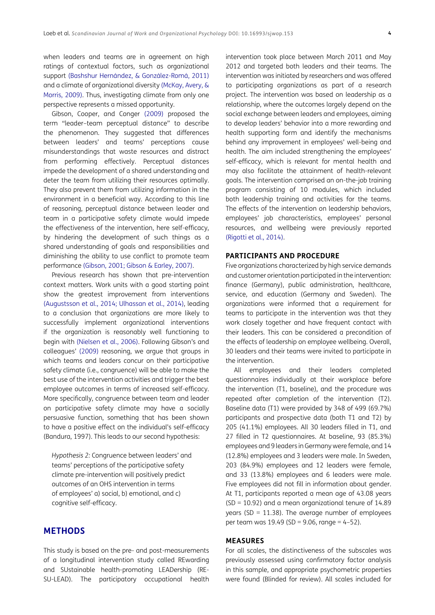when leaders and teams are in agreement on high ratings of contextual factors, such as organizational support (Bashshur Hernández, & González-Romá, 2011) and a climate of organizational diversity [\(McKay, Avery, &](#page-13-14) [Morris, 2009\)](#page-13-14). Thus, investigating climate from only one perspective represents a missed opportunity.

Gibson, Cooper, and Conger [\(2009\)](#page-12-14) proposed the term "leader–team perceptual distance" to describe the phenomenon. They suggested that differences between leaders' and teams' perceptions cause misunderstandings that waste resources and distract from performing effectively. Perceptual distances impede the development of a shared understanding and deter the team from utilizing their resources optimally. They also prevent them from utilizing information in the environment in a beneficial way. According to this line of reasoning, perceptual distance between leader and team in a participative safety climate would impede the effectiveness of the intervention, here self-efficacy, by hindering the development of such things as a shared understanding of goals and responsibilities and diminishing the ability to use conflict to promote team performance ([Gibson, 2001;](#page-12-15) [Gibson & Earley, 2007\)](#page-12-16).

Previous research has shown that pre-intervention context matters. Work units with a good starting point show the greatest improvement from interventions [\(Augustsson et al., 2014](#page-11-11); [Ulhassan et al., 2014\)](#page-14-1), leading to a conclusion that organizations are more likely to successfully implement organizational interventions if the organization is reasonably well functioning to begin with ([Nielsen et al., 2006](#page-13-15)). Following Gibson's and colleagues' [\(2009](#page-12-14)) reasoning, we argue that groups in which teams and leaders concur on their participative safety climate (i.e., congruence) will be able to make the best use of the intervention activities and trigger the best employee outcomes in terms of increased self-efficacy. More specifically, congruence between team and leader on participative safety climate may have a socially persuasive function, something that has been shown to have a positive effect on the individual's self-efficacy (Bandura, 1997). This leads to our second hypothesis:

*Hypothesis 2:* Congruence between leaders' and teams' perceptions of the participative safety climate pre-intervention will positively predict outcomes of an OHS intervention in terms of employees' a) social, b) emotional, and c) cognitive self-efficacy.

### **METHODS**

This study is based on the pre- and post-measurements of a longitudinal intervention study called REwarding and SUstainable health-promoting LEADership (RE-SU-LEAD). The participatory occupational health intervention took place between March 2011 and May 2012 and targeted both leaders and their teams. The intervention was initiated by researchers and was offered to participating organizations as part of a research project. The intervention was based on leadership as a relationship, where the outcomes largely depend on the social exchange between leaders and employees, aiming to develop leaders' behavior into a more rewarding and health supporting form and identify the mechanisms behind any improvement in employees' well-being and health. The aim included strengthening the employees' self-efficacy, which is relevant for mental health and may also facilitate the attainment of health-relevant goals. The intervention comprised an on-the-job training program consisting of 10 modules, which included both leadership training and activities for the teams. The effects of the intervention on leadership behaviors, employees' job characteristics, employees' personal resources, and wellbeing were previously reported ([Rigotti et al., 2014\)](#page-13-16).

#### **PARTICIPANTS AND PROCEDURE**

Five organizations characterized by high service demands and customer orientation participated in the intervention: finance (Germany), public administration, healthcare, service, and education (Germany and Sweden). The organizations were informed that a requirement for teams to participate in the intervention was that they work closely together and have frequent contact with their leaders. This can be considered a precondition of the effects of leadership on employee wellbeing. Overall, 30 leaders and their teams were invited to participate in the intervention.

All employees and their leaders completed questionnaires individually at their workplace before the intervention (T1, baseline), and the procedure was repeated after completion of the intervention (T2). Baseline data (T1) were provided by 348 of 499 (69.7%) participants and prospective data (both T1 and T2) by 205 (41.1%) employees. All 30 leaders filled in T1, and 27 filled in T2 questionnaires. At baseline, 93 (85.3%) employees and 9 leaders in Germany were female, and 14 (12.8%) employees and 3 leaders were male. In Sweden, 203 (84.9%) employees and 12 leaders were female, and 33 (13.8%) employees and 6 leaders were male. Five employees did not fill in information about gender. At T1, participants reported a mean age of 43.08 years (SD = 10.92) and a mean organizational tenure of 14.89 years (SD =  $11.38$ ). The average number of employees per team was  $19.49$  (SD = 9.06, range = 4-52).

### **MEASURES**

For all scales, the distinctiveness of the subscales was previously assessed using confirmatory factor analysis in this sample, and appropriate psychometric properties were found (Blinded for review). All scales included for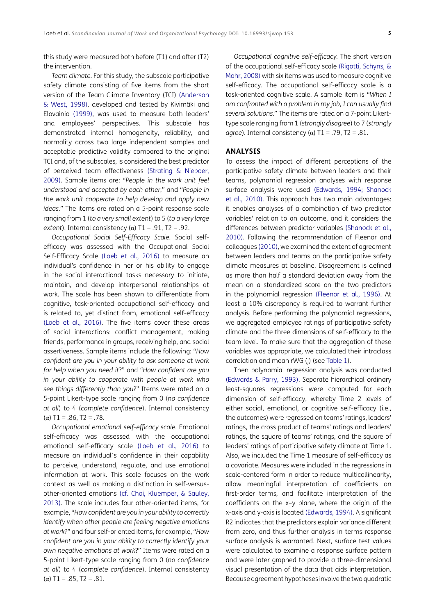this study were measured both before (T1) and after (T2) the intervention.

*Team climate.* For this study, the subscale participative safety climate consisting of five items from the short version of the Team Climate Inventory (TCI) ([Anderson](#page-11-3) [& West, 1998\)](#page-11-3), developed and tested by Kivimäki and Elovainio (1999), was used to measure both leaders' and employees' perspectives. This subscale has demonstrated internal homogeneity, reliability, and normality across two large independent samples and acceptable predictive validity compared to the original TCI and, of the subscales, is considered the best predictor of perceived team effectiveness ([Strating & Nieboer,](#page-13-17) [2009](#page-13-17)). Sample items are: "*People in the work unit feel understood and accepted by each other*," and "*People in the work unit cooperate to help develop and apply new ideas.*" The items are rated on a 5-point response scale ranging from 1 (*to a very small extent*) to 5 (*to a very large extent*). Internal consistency ( $\alpha$ ) T1 = .91, T2 = .92.

*Occupational Social Self-Efficacy Scale.* Social selfefficacy was assessed with the Occupational Social Self-Efficacy Scale ([Loeb et al., 2016](#page-13-18)) to measure an individual's confidence in her or his ability to engage in the social interactional tasks necessary to initiate, maintain, and develop interpersonal relationships at work. The scale has been shown to differentiate from cognitive, task-oriented occupational self-efficacy and is related to, yet distinct from, emotional self-efficacy [\(Loeb et al., 2016\)](#page-13-18). The five items cover these areas of social interactions: conflict management, making friends, performance in groups, receiving help, and social assertiveness. Sample items include the following: "*How confident are you in your ability to ask someone at work for help when you need it*?" and "*How confident are you in your ability to cooperate with people at work who see things differently than you*?" Items were rated on a 5-point Likert-type scale ranging from 0 (*no confidence at all*) to 4 (*complete confidence*). Internal consistency (α) T1 = .86, T2 = .78.

*Occupational emotional self-efficacy scale.* Emotional self-efficacy was assessed with the occupational emotional self-efficacy scale [\(Loeb et al., 2016\)](#page-13-18) to measure an individual´s confidence in their capability to perceive, understand, regulate, and use emotional information at work. This scale focuses on the work context as well as making a distinction in self-versusother-oriented emotions (cf. [Choi, Kluemper, & Sauley,](#page-11-12) [2013](#page-11-12)). The scale includes four other-oriented items, for example, "*How confident are you in your ability to correctly identify when other people are feeling negative emotions at work*?" and four self-oriented items, for example, "*How confident are you in your ability to correctly identify your own negative emotions at work*?" Items were rated on a 5-point Likert-type scale ranging from 0 (*no confidence at all*) to 4 (*complete confidence*). Internal consistency (α) T1 = .85, T2 = .81.

*Occupational cognitive self-efficacy.* The short version of the occupational self-efficacy scale ([Rigotti, Schyns, &](#page-13-19)  [Mohr, 2008\)](#page-13-19) with six items was used to measure cognitive self-efficacy. The occupational self-efficacy scale is a task-oriented cognitive scale. A sample item is "*When I am confronted with a problem in my job, I can usually find several solutions.*" The items are rated on a 7-point Likerttype scale ranging from 1 (*strongly disagree*) to 7 (*strongly agree*). Internal consistency  $(\alpha)$  T1 = .79, T2 = .81.

#### **ANALYSIS**

To assess the impact of different perceptions of the participative safety climate between leaders and their teams, polynomial regression analyses with response surface analysis were used ([Edwards, 1994;](#page-11-13) [Shanock](#page-13-20)  [et al., 2010](#page-13-20)). This approach has two main advantages: it enables analyses of a combination of two predictor variables' relation to an outcome, and it considers the differences between predictor variables ([Shanock et al.,](#page-13-20)  [2010\)](#page-13-20). Following the recommendation of Fleenor and colleagues ([2010](#page-12-17)), we examined the extent of agreement between leaders and teams on the participative safety climate measures at baseline. Disagreement is defined as more than half a standard deviation away from the mean on a standardized score on the two predictors in the polynomial regression [\(Fleenor et al., 1996\)](#page-12-12). At least a 10% discrepancy is required to warrant further analysis. Before performing the polynomial regressions, we aggregated employee ratings of participative safety climate and the three dimensions of self-efficacy to the team level. To make sure that the aggregation of these variables was appropriate, we calculated their intraclass correlation and mean rWG (j) (see [Table 1\)](#page-5-0).

Then polynomial regression analysis was conducted ([Edwards & Parry, 1993\)](#page-12-18). Separate hierarchical ordinary least-squares regressions were computed for each dimension of self-efficacy, whereby Time 2 levels of either social, emotional, or cognitive self-efficacy (i.e., the outcomes) were regressed on teams' ratings, leaders' ratings, the cross product of teams' ratings and leaders' ratings, the square of teams' ratings, and the square of leaders' ratings of participative safety climate at Time 1. Also, we included the Time 1 measure of self-efficacy as a covariate. Measures were included in the regressions in scale-centered form in order to reduce multicollinearity, allow meaningful interpretation of coefficients on first-order terms, and facilitate interpretation of the coefficients on the x–y plane, where the origin of the x-axis and y-axis is located ([Edwards, 1994\)](#page-11-13). A significant R2 indicates that the predictors explain variance different from zero, and thus further analysis in terms response surface analysis is warranted. Next, surface test values were calculated to examine a response surface pattern and were later graphed to provide a three-dimensional visual presentation of the data that aids interpretation. Because agreement hypotheses involve the two quadratic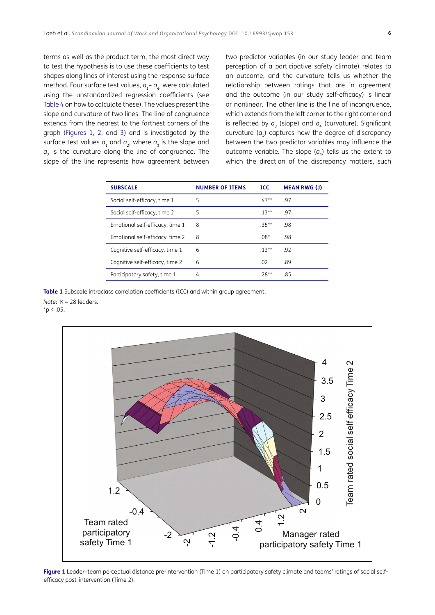terms as well as the product term, the most direct way to test the hypothesis is to use these coefficients to test shapes along lines of interest using the response surface method. Four surface test values,  $a_{1}$ –  $a_{4}$ , were calculated using the unstandardized regression coefficients (see [Table 4](#page-8-0) on how to calculate these). The values present the slope and curvature of two lines. The line of congruence extends from the nearest to the farthest corners of the graph ([Figures 1](#page-5-1), [2,](#page-6-0) and [3\)](#page-6-1) and is investigated by the surface test values  $a_{1}$  and  $a_{2}$ , where  $a_{1}$  is the slope and *a2* is the curvature along the line of congruence. The slope of the line represents how agreement between

two predictor variables (in our study leader and team perception of a participative safety climate) relates to an outcome, and the curvature tells us whether the relationship between ratings that are in agreement and the outcome (in our study self-efficacy) is linear or nonlinear. The other line is the line of incongruence, which extends from the left corner to the right corner and is reflected by  $a_{\overline{\jmath}}$  (slope) and  $a_{\overline{\imath}}$  (curvature). Significant curvature  $(a_4)$  captures how the degree of discrepancy between the two predictor variables may influence the outcome variable. The slope  $(a_{\frac{1}{2}})$  tells us the extent to which the direction of the discrepancy matters, such

| <b>SUBSCALE</b>                 | <b>NUMBER OF ITEMS</b> | TCC.     | <b>MEAN RWG (J)</b> |
|---------------------------------|------------------------|----------|---------------------|
| Social self-efficacy, time 1    | 5                      | $47**$   | -97                 |
| Social self-efficacy, time 2    | 5                      | $.13**$  | -97                 |
| Emotional self-efficacy, time 1 | 8                      | $35**$   | -98                 |
| Emotional self-efficacy, time 2 | 8                      | $.08*$   | .98                 |
| Cognitive self-efficacy, time 1 | 6                      | $.13***$ | -92                 |
| Cognitive self-efficacy, time 2 | 6                      | .02      | .89                 |
| Participatory safety, time 1    | 4                      | $.78**$  | -85                 |

#### <span id="page-5-0"></span>**Table 1** Subscale intraclass correlation coefficients (ICC) and within group agreement.

*Note*: K = 28 leaders.  $*_{p}$  < .05.



<span id="page-5-1"></span>Figure 1 Leader-team perceptual distance pre-intervention (Time 1) on participatory safety climate and teams' ratings of social selfefficacy post-intervention (Time 2).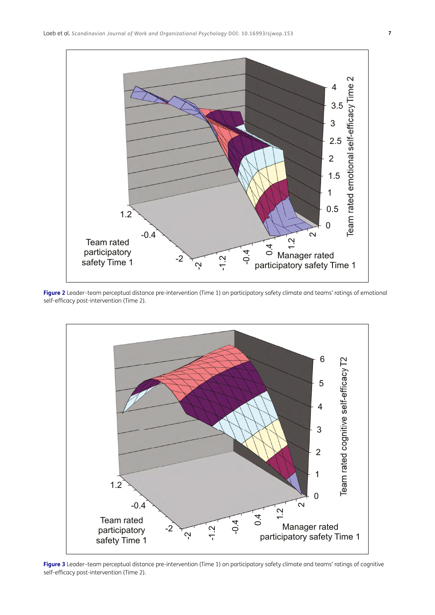

<span id="page-6-0"></span>**Figure 2** Leader–team perceptual distance pre-intervention (Time 1) on participatory safety climate and teams' ratings of emotional self-efficacy post-intervention (Time 2).



<span id="page-6-1"></span>**Figure 3** Leader–team perceptual distance pre-intervention (Time 1) on participatory safety climate and teams' ratings of cognitive self-efficacy post-intervention (Time 2).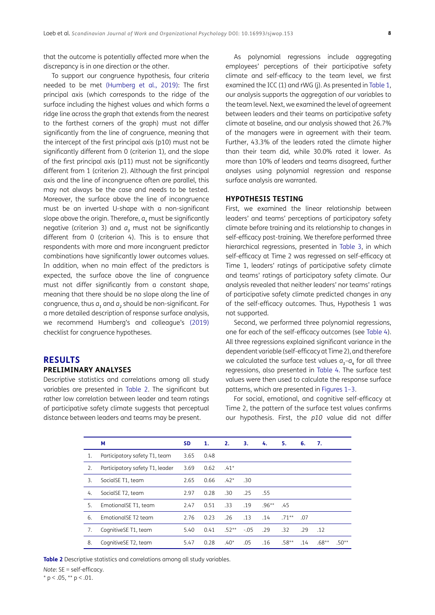that the outcome is potentially affected more when the discrepancy is in one direction or the other.

To support our congruence hypothesis, four criteria needed to be met ([Humberg et al., 2019\)](#page-12-19): The first principal axis (which corresponds to the ridge of the surface including the highest values and which forms a ridge line across the graph that extends from the nearest to the farthest corners of the graph) must not differ significantly from the line of congruence, meaning that the intercept of the first principal axis (p10) must not be significantly different from 0 (criterion 1), and the slope of the first principal axis (p11) must not be significantly different from 1 (criterion 2). Although the first principal axis and the line of incongruence often are parallel, this may not always be the case and needs to be tested. Moreover, the surface above the line of incongruence must be an inverted U-shape with a non-significant slope above the origin. Therefore, *a<sup>4</sup>* must be significantly negative (criterion 3) and  $a_{\overline{\textit{3}}}$  must not be significantly different from 0 (criterion 4). This is to ensure that respondents with more and more incongruent predictor combinations have significantly lower outcomes values. In addition, when no main effect of the predictors is expected, the surface above the line of congruence must not differ significantly from a constant shape, meaning that there should be no slope along the line of congruence, thus *a<sup>1</sup>* and *a<sup>2</sup>* should be non-significant. For a more detailed description of response surface analysis, we recommend Humberg's and colleague's ([2019](#page-12-19)) checklist for congruence hypotheses.

### **RESULTS PRELIMINARY ANALYSES**

Descriptive statistics and correlations among all study variables are presented in [Table 2](#page-7-0). The significant but rather low correlation between leader and team ratings of participative safety climate suggests that perceptual distance between leaders and teams may be present.

As polynomial regressions include aggregating employees' perceptions of their participative safety climate and self-efficacy to the team level, we first examined the ICC (1) and rWG (j). As presented in [Table 1,](#page-5-0) our analysis supports the aggregation of our variables to the team level. Next, we examined the level of agreement between leaders and their teams on participative safety climate at baseline, and our analysis showed that 26.7% of the managers were in agreement with their team. Further, 43.3% of the leaders rated the climate higher than their team did, while 30.0% rated it lower. As more than 10% of leaders and teams disagreed, further analyses using polynomial regression and response surface analysis are warranted.

### **HYPOTHESIS TESTING**

First, we examined the linear relationship between leaders' and teams' perceptions of participatory safety climate before training and its relationship to changes in self-efficacy post-training. We therefore performed three hierarchical regressions, presented in [Table 3,](#page-8-1) in which self-efficacy at Time 2 was regressed on self-efficacy at Time 1, leaders' ratings of participative safety climate and teams' ratings of participatory safety climate. Our analysis revealed that neither leaders' nor teams' ratings of participative safety climate predicted changes in any of the self-efficacy outcomes. Thus, Hypothesis 1 was not supported.

Second, we performed three polynomial regressions, one for each of the self-efficacy outcomes (see [Table 4\)](#page-8-0). All three regressions explained significant variance in the dependent variable (self-efficacy at Time 2), and therefore we calculated the surface test values  $a_{1}$ – $a_{4}$  for all three regressions, also presented in [Table 4.](#page-8-0) The surface test values were then used to calculate the response surface patterns, which are presented in [Figures 1](#page-5-1)–[3.](#page-6-1)

For social, emotional, and cognitive self-efficacy at Time 2, the pattern of the surface test values confirms our hypothesis. First, the *p10* value did not differ

|    | М                               | <b>SD</b> | 1.   | 2.      | $\overline{\phantom{a}}$ 3. | -4.      | 5.       | 6.  | 7.      |         |
|----|---------------------------------|-----------|------|---------|-----------------------------|----------|----------|-----|---------|---------|
| 1. | Participatory safety T1, team   | 3.65      | 0.48 |         |                             |          |          |     |         |         |
| 2. | Participatory safety T1, leader | 3.69      | 0.62 | $.41*$  |                             |          |          |     |         |         |
| 3. | SocialSE T1, team               | 2.65      | 0.66 | $.42*$  | .30                         |          |          |     |         |         |
| 4. | SocialSE T2, team               | 2.97      | 0.28 | .30     | .25                         | .55      |          |     |         |         |
| 5. | EmotionalSE T1, team            | 2.47      | 0.51 | .33     | .19                         | $.96***$ | .45      |     |         |         |
| 6. | EmotionalSE T2 team             | 2.76      | 0.23 | .26     | .13                         | .14      | $.71***$ | .07 |         |         |
| 7. | CognitiveSE T1, team            | 5.40      | 0.41 | $.52**$ | $-.05$                      | .29      | .32      | .29 | .12     |         |
| 8. | CognitiveSE T2, team            | 5.47      | 0.28 | $.40*$  | .05                         | .16      | $.58**$  | .14 | $.68**$ | $.50**$ |

<span id="page-7-0"></span>**Table 2** Descriptive statistics and correlations among all study variables. *Note*: SE = self-efficacy.

 $*$  p < .05,  $**$  p < .01.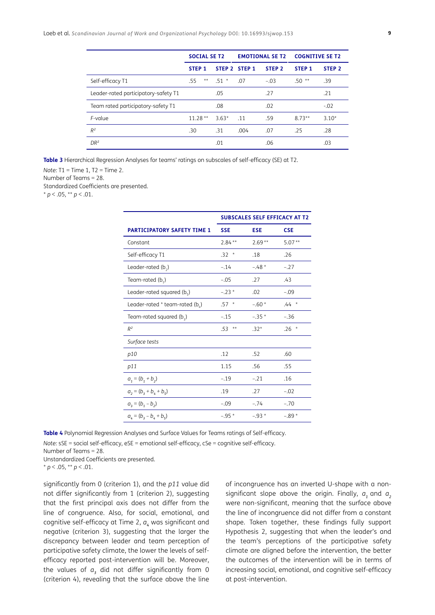|                                      | <b>SOCIAL SE T2</b> |         | <b>EMOTIONAL SE T2</b> |                   | <b>COGNITIVE SE T2</b> |                   |
|--------------------------------------|---------------------|---------|------------------------|-------------------|------------------------|-------------------|
|                                      | STEP <sub>1</sub>   |         | STEP 2 STEP 1          | STEP <sub>2</sub> | STEP <sub>1</sub>      | STEP <sub>2</sub> |
| Self-efficacy T1                     | $***$<br>.55        | $51*$   | .07                    | $-.03$            | $.50**$                | .39               |
| Leader-rated participatory-safety T1 |                     | .05     |                        | .27               |                        | .21               |
| Team rated participatory-safety T1   |                     | .08     |                        | .02               |                        | $-.02$            |
| F-value                              | $11.28**$           | $3.63*$ | .11                    | .59               | $8.73**$               | $3.10*$           |
| $R^2$                                | .30                 | .31     | .004                   | .07               | .25                    | .28               |
| DR <sup>2</sup>                      |                     | .01     |                        | .06               |                        | .03               |

<span id="page-8-1"></span>**Table 3** Hierarchical Regression Analyses for teams' ratings on subscales of self-efficacy (SE) at T2.

*Note:* T1 = Time 1, T2 = Time 2.

Number of Teams = 28.

Standardized Coefficients are presented.

 $* p < .05, ** p < .01.$ 

|                                         | <b>SUBSCALES SELF EFFICACY AT T2</b> |            |            |  |
|-----------------------------------------|--------------------------------------|------------|------------|--|
| <b>PARTICIPATORY SAFETY TIME 1</b>      | <b>SSE</b>                           | <b>ESE</b> | <b>CSE</b> |  |
| Constant                                | $2.84***$                            | $2.69**$   | $5.07**$   |  |
| Self-efficacy T1                        | $.32*$                               | .18        | .26        |  |
| Leader-rated $(b_2)$                    | $-.14$                               | $-.48*$    | $-.27$     |  |
| Team-rated $(b_1)$                      | $-.05$                               | .27        | .43        |  |
| Leader-rated squared ( $b_{\epsilon}$ ) | $-.23*$                              | .02        | $-.09$     |  |
| Leader-rated * team-rated (b,)          | $.57*$                               | $-.60*$    | $.44 *$    |  |
| Team-rated squared $(b_2)$              | $-.15$                               | $-.35*$    | $-.36$     |  |
| $R^2$                                   | $***$<br>.53                         | $.32*$     | $.26*$     |  |
| Surface tests                           |                                      |            |            |  |
| p10                                     | .12                                  | .52        | .60        |  |
| p11                                     | 1.15                                 | .56        | .55        |  |
| $a_1 = (b_1 + b_2)$                     | $-.19$                               | $-.21$     | .16        |  |
| $a_2 = (b_3 + b_4 + b_5)$               | .19                                  | .27        | $-.02$     |  |
| $a_3 = (b_1 - b_2)$                     | $-.09$                               | $-.74$     | $-.70$     |  |
| $a_4 = (b_3 - b_4 + b_5)$               | $-.95*$                              | $-.93*$    | $-.89*$    |  |

<span id="page-8-0"></span>**Table 4** Polynomial Regression Analyses and Surface Values for Teams ratings of Self-efficacy.

*Note:* sSE = social self-efficacy, eSE = emotional self-efficacy, cSe = cognitive self-efficacy.

Number of Teams = 28.

Unstandardized Coefficients are presented.

 $* p < .05, ** p < .01.$ 

significantly from 0 (criterion 1), and the *p11* value did not differ significantly from 1 (criterion 2), suggesting that the first principal axis does not differ from the line of congruence. Also, for social, emotional, and cognitive self-efficacy at Time 2,  $a<sub>k</sub>$  was significant and negative (criterion 3), suggesting that the larger the discrepancy between leader and team perception of participative safety climate, the lower the levels of selfefficacy reported post-intervention will be. Moreover, the values of  $a_3$  did not differ significantly from 0 (criterion 4), revealing that the surface above the line of incongruence has an inverted U-shape with a nonsignificant slope above the origin. Finally,  $a_1$  and  $a_2$ were non-significant, meaning that the surface above the line of incongruence did not differ from a constant shape. Taken together, these findings fully support Hypothesis 2, suggesting that when the leader's and the team's perceptions of the participative safety climate are aligned before the intervention, the better the outcomes of the intervention will be in terms of increasing social, emotional, and cognitive self-efficacy at post-intervention.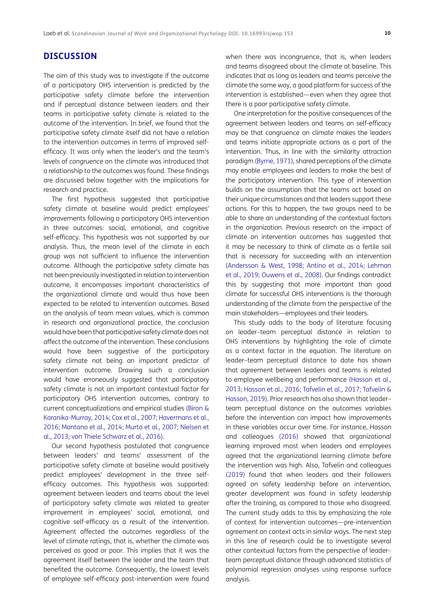## **DISCUSSION**

The aim of this study was to investigate if the outcome of a participatory OHS intervention is predicted by the participative safety climate before the intervention and if perceptual distance between leaders and their teams in participative safety climate is related to the outcome of the intervention. In brief, we found that the participative safety climate itself did not have a relation to the intervention outcomes in terms of improved selfefficacy. It was only when the leader's and the team's levels of *congruence* on the climate was introduced that a relationship to the outcomes was found. These findings are discussed below together with the implications for research and practice.

The first hypothesis suggested that participative safety climate at baseline would predict employees' improvements following a participatory OHS intervention in three outcomes: social, emotional, and cognitive self-efficacy. This hypothesis was not supported by our analysis. Thus, the mean level of the climate in each group was not sufficient to influence the intervention outcome. Although the participative safety climate has not been previously investigated in relation to intervention outcome, it encompasses important characteristics of the organizational climate and would thus have been expected to be related to intervention outcomes. Based on the analysis of team mean values, which is common in research and organizational practice, the conclusion would have been that participative safety climate does not affect the outcome of the intervention. These conclusions would have been suggestive of the participatory safety climate not being an important predictor of intervention outcome. Drawing such a conclusion would have erroneously suggested that participatory safety climate is not an important contextual factor for participatory OHS intervention outcomes, contrary to current conceptualizations and empirical studies ([Biron &](#page-11-14) [Karanika-Murray, 2014](#page-11-14); [Cox et al., 2007](#page-11-2); [Havermans et al.,](#page-12-20) [2016](#page-12-20); [Montano et al., 2014](#page-13-4); [Murta et al., 2007](#page-13-6); [Nielsen et](#page-13-5) [al., 2013;](#page-13-5) [von Thiele Schwarz et al., 2016](#page-14-2)).

Our second hypothesis postulated that congruence between leaders' and teams' assessment of the participative safety climate at baseline would positively predict employees' development in the three selfefficacy outcomes. This hypothesis was supported: agreement between leaders and teams about the level of participatory safety climate was related to greater improvement in employees' social, emotional, and cognitive self-efficacy as a result of the intervention. Agreement affected the outcomes regardless of the level of climate ratings, that is, whether the climate was perceived as good or poor. This implies that it was the agreement itself between the leader and the team that benefited the outcome. Consequently, the lowest levels of employee self-efficacy post-intervention were found when there was incongruence, that is, when leaders and teams disagreed about the climate at baseline. This indicates that as long as leaders and teams perceive the climate the same way, a good platform for success of the intervention is established—even when they agree that there is a poor participative safety climate.

One interpretation for the positive consequences of the agreement between leaders and teams on self-efficacy may be that congruence on climate makes the leaders and teams initiate appropriate actions as a part of the intervention. Thus, in line with the similarity attraction paradigm ([Byrne, 1971](#page-11-4)), shared perceptions of the climate may enable employees and leaders to make the best of the participatory intervention. This type of intervention builds on the assumption that the teams act based on their unique circumstances and that leaders support these actions. For this to happen, the two groups need to be able to share an understanding of the contextual factors in the organization. Previous research on the impact of climate on intervention outcomes has suggested that it may be necessary to think of climate as a fertile soil that is necessary for succeeding with an intervention ([Andersson & West, 1998](#page-11-3); [Antino et al., 2014](#page-11-7); [Lehman](#page-12-3)  [et al., 2019;](#page-12-3) [Ouwens et al., 2008](#page-13-10)). Our findings contradict this by suggesting that more important than good climate for successful OHS interventions is the thorough understanding of the climate from the perspective of the main stakeholders—employees and their leaders.

This study adds to the body of literature focusing on leader–team perceptual distance in relation to OHS interventions by highlighting the role of climate as a context factor in the equation. The literature on leader–team perceptual distance to date has shown that agreement between leaders and teams is related to employee wellbeing and performance ([Hasson et al.,](#page-12-13)  [2013;](#page-12-13) [Hasson et al., 2016](#page-12-4); [Tafvelin et al., 2017](#page-14-7); Tafvelin & Hasson, 2019). Prior research has also shown that leader– team perceptual distance on the outcomes variables before the intervention can impact how improvements in these variables occur over time. For instance, Hasson and colleagues ([2016\)](#page-12-4) showed that organizational learning improved most when leaders and employees agreed that the organizational learning climate before the intervention was high. Also, Tafvelin and colleagues (2019) found that when leaders and their followers agreed on safety leadership before an intervention, greater development was found in safety leadership after the training, as compared to those who disagreed. The current study adds to this by emphasizing the role of context for intervention outcomes—pre-intervention agreement on context acts in similar ways. The next step in this line of research could be to investigate several other contextual factors from the perspective of leader– team perceptual distance through advanced statistics of polynomial regression analyses using response surface analysis.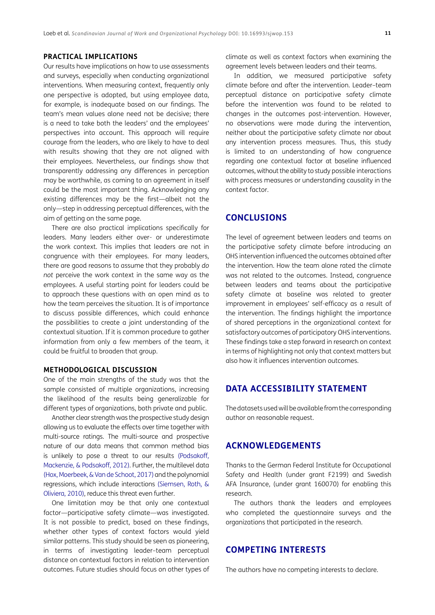### **PRACTICAL IMPLICATIONS**

Our results have implications on how to use assessments and surveys, especially when conducting organizational interventions. When measuring context, frequently only one perspective is adopted, but using employee data, for example, is inadequate based on our findings. The team's mean values alone need not be decisive; there is a need to take both the leaders' and the employees' perspectives into account. This approach will require courage from the leaders, who are likely to have to deal with results showing that they are not aligned with their employees. Nevertheless, our findings show that transparently addressing any differences in perception may be worthwhile, as coming to an agreement in itself could be the most important thing. Acknowledging any existing differences may be the first—albeit not the only—step in addressing perceptual differences, with the aim of getting on the same page.

There are also practical implications specifically for leaders. Many leaders either over- or underestimate the work context. This implies that leaders are not in congruence with their employees. For many leaders, there are good reasons to assume that they probably *do not* perceive the work context in the same way as the employees. A useful starting point for leaders could be to approach these questions with an open mind as to how the team perceives the situation. It is of importance to discuss possible differences, which could enhance the possibilities to create a joint understanding of the contextual situation. If it is common procedure to gather information from only a few members of the team, it could be fruitful to broaden that group.

#### **METHODOLOGICAL DISCUSSION**

One of the main strengths of the study was that the sample consisted of multiple organizations, increasing the likelihood of the results being generalizable for different types of organizations, both private and public.

Another clear strength was the prospective study design allowing us to evaluate the effects over time together with multi-source ratings. The multi-source and prospective nature of our data means that common method bias is unlikely to pose a threat to our results [\(Podsakoff,](#page-13-21) [Mackenzie, & Podsakoff, 2012](#page-13-21)). Further, the multilevel data [\(Hox, Moerbeek, & Van de Schoot, 2017\)](#page-12-21) and the polynomial regressions, which include interactions [\(Siemsen, Roth, &](#page-13-22) [Oliviera, 2010](#page-13-22)), reduce this threat even further.

One limitation may be that only one contextual factor—participative safety climate—was investigated. It is not possible to predict, based on these findings, whether other types of context factors would yield similar patterns. This study should be seen as pioneering, in terms of investigating leader–team perceptual distance on contextual factors in relation to intervention outcomes. Future studies should focus on other types of climate as well as context factors when examining the agreement levels between leaders and their teams.

In addition, we measured participative safety climate before and after the intervention. Leader–team perceptual distance on participative safety climate before the intervention was found to be related to changes in the outcomes post-intervention. However, no observations were made during the intervention, neither about the participative safety climate nor about any intervention process measures. Thus, this study is limited to an understanding of how congruence regarding one contextual factor at baseline influenced outcomes, without the ability to study possible interactions with process measures or understanding causality in the context factor.

## **CONCLUSIONS**

The level of agreement between leaders and teams on the participative safety climate before introducing an OHS intervention influenced the outcomes obtained after the intervention. How the team alone rated the climate was not related to the outcomes. Instead, congruence between leaders and teams about the participative safety climate at baseline was related to greater improvement in employees' self-efficacy as a result of the intervention. The findings highlight the importance of shared perceptions in the organizational context for satisfactory outcomes of participatory OHS interventions. These findings take a step forward in research on context in terms of highlighting not only that context matters but also how it influences intervention outcomes.

## **DATA ACCESSIBILITY STATEMENT**

The datasets used will be available from the corresponding author on reasonable request.

### **ACKNOWLEDGEMENTS**

Thanks to the German Federal Institute for Occupational Safety and Health (under grant F2199) and Swedish AFA Insurance, (under grant 160070) for enabling this research.

The authors thank the leaders and employees who completed the questionnaire surveys and the organizations that participated in the research.

## **COMPETING INTERESTS**

The authors have no competing interests to declare.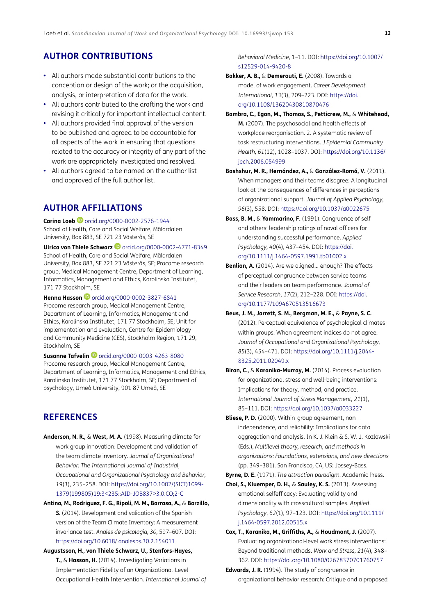## **AUTHOR CONTRIBUTIONS**

- **•**  All authors made substantial contributions to the conception or design of the work; or the acquisition, analysis, or interpretation of data for the work.
- **•**  All authors contributed to the drafting the work and revising it critically for important intellectual content.
- All authors provided final approval of the version to be published and agreed to be accountable for all aspects of the work in ensuring that questions related to the accuracy or integrity of any part of the work are appropriately investigated and resolved.
- All authors agreed to be named on the author list and approved of the full author list.

### <span id="page-11-0"></span>**AUTHOR AFFILIATIONS**

**Carina Loeb** [orcid.org/0000-0002-2576-1944](https://orcid.org/0000-0002-2576-1944) School of Health, Care and Social Welfare, Mälardalen University, Box 883, SE 721 23 Västerås, SE

**Ulricavon Thiele Schwarz D** [orcid.org/0000-0002-4771-8349](https://orcid.org/0000-0002-4771-8349) School of Health, Care and Social Welfare, Mälardalen University, Box 883, SE 721 23 Västerås, SE; Procome research group, Medical Management Centre, Department of Learning, Informatics, Management and Ethics, Karolinska Institutet, 171 77 Stockholm, SE

**Henna Hasson D** [orcid.org/0000-0002-3827-6841](https://orcid.org/0000-0002-3827-6841) Procome research group, Medical Management Centre, Department of Learning, Informatics, Management and Ethics, Karolinska Institutet, 171 77 Stockholm, SE; Unit for implementation and evaluation, Centre for Epidemiology and Community Medicine (CES), Stockholm Region, 171 29, Stockholm, SE

**SusanneTafvelin D** [orcid.org/0000-0003-4263-8080](https://orcid.org/0000-0003-4263-8080) Procome research group, Medical Management Centre, Department of Learning, Informatics, Management and Ethics, Karolinska Institutet, 171 77 Stockholm, SE; Department of psychology, Umeå University, 901 87 Umeå, SE

## **REFERENCES**

- <span id="page-11-3"></span>**Anderson, N. R.,** & **West, M. A.** (1998). Measuring climate for work group innovation: Development and validation of the team climate inventory. *Journal of Organizational Behavior: The International Journal of Industrial, Occupational and Organizational Psychology and Behavior, 19*(3), 235–258. DOI: [https://doi.org/10.1002/\(SICI\)1099-](https://doi.org/10.1002/(SICI)1099-1379(199805)19:3<235::AID-JOB837>3.0.CO;2-C ) [1379\(199805\)19:3<235::AID-JOB837>3.0.CO;2-C](https://doi.org/10.1002/(SICI)1099-1379(199805)19:3<235::AID-JOB837>3.0.CO;2-C )
- <span id="page-11-7"></span>**Antino, M., Rodriguez, F. G., Ripoli, M. M., Barrasa, A.,** & **Borzillo, S.** (2014). Development and validation of the Spanish version of the Team Climate Inventory: A measurement invariance test. *Anales de psicologia, 30,* 597–607. DOI: <https://doi.org/10.6018/ analesps.30.2.154011>
- <span id="page-11-11"></span>**Augustsson, H., von Thiele Schwarz, U., Stenfors-Hayes, T.,** & **Hasson, H.** (2014). Investigating Variations in Implementation Fidelity of an Organizational-Level Occupational Health Intervention. *International Journal of*

*Behavioral Medicine*, 1–11. DOI: [https://doi.org/10.1007/](https://doi.org/10.1007/s12529-014-9420-8 ) [s12529-014-9420-8](https://doi.org/10.1007/s12529-014-9420-8 )

- <span id="page-11-6"></span>**Bakker, A. B.,** & **Demerouti, E.** (2008). Towards a model of work engagement. *Career Development International, 13*(3), 209–223. DOI: [https://doi.](https://doi.org/10.1108/13620430810870476 ) [org/10.1108/13620430810870476](https://doi.org/10.1108/13620430810870476 )
- <span id="page-11-1"></span>**Bambra, C., Egan, M., Thomas, S., Petticrew, M.,** & **Whitehead, M.** (2007). The psychosocial and health effects of workplace reorganisation. 2. A systematic review of task restructuring interventions. *J Epidemiol Community Health, 61*(12), 1028–1037. DOI: [https://doi.org/10.1136/](https://doi.org/10.1136/jech.2006.054999 ) [jech.2006.054999](https://doi.org/10.1136/jech.2006.054999 )
- **Bashshur, M. R., Hernández, A.,** & **González-Romá, V.** (2011). When managers and their teams disagree: A longitudinal look at the consequences of differences in perceptions of organizational support. *Journal of Applied Psychology*, *96*(3), 558. DOI: [https://doi.org/10.1037/a0022675](https://doi.org/10.1037/a0022675 )
- <span id="page-11-8"></span>**Bass, B. M.,** & **Yammarino, F.** (1991). Congruence of self and others' leadership ratings of naval officers for understanding successful performance. *Applied Psychology, 40*(4), 437–454. DOI: [https://doi.](https://doi.org/10.1111/j.1464-0597.1991.tb01002.x ) [org/10.1111/j.1464-0597.1991.tb01002.x](https://doi.org/10.1111/j.1464-0597.1991.tb01002.x )
- <span id="page-11-10"></span>**Benlian, A.** (2014). Are we aligned… enough? The effects of perceptual congruence between service teams and their leaders on team performance. *Journal of Service Research*, *17*(2), 212–228. DOI: [https://doi.](https://doi.org/10.1177/1094670513516673 ) [org/10.1177/1094670513516673](https://doi.org/10.1177/1094670513516673 )
- <span id="page-11-9"></span>**Beus, J. M., Jarrett, S. M., Bergman, M. E.,** & **Payne, S. C.**  (2012). Perceptual equivalence of psychological climates within groups: When agreement indices do not agree. *Journal of Occupational and Organizational Psychology, 85*(3), 454–471. DOI: [https://doi.org/10.1111/j.2044-](https://doi.org/10.1111/j.2044-8325.2011.02049.x ) [8325.2011.02049.x](https://doi.org/10.1111/j.2044-8325.2011.02049.x )
- <span id="page-11-14"></span>**Biron, C., & Karanika-Murray, M.** (2014). Process evaluation for organizational stress and well-being interventions: Implications for theory, method, and practice. *International Journal of Stress Management, 21*(1), 85–111. DOI: [https://doi.org/10.1037/a0033227](https://doi.org/10.1037/a0033227 )
- <span id="page-11-5"></span>**Bliese, P. D.** (2000). Within-group agreement, nonindependence, and reliability: Implications for data aggregation and analysis. In K. J. Klein & S. W. J. Kozlowski (Eds.), *Multilevel theory, research, and methods in organizations: Foundations, extensions, and new directions*  (pp. 349–381). San Francisco, CA, US: Jossey-Bass.
- <span id="page-11-4"></span>**Byrne, D. E.** (1971). *The attraction paradigm.* Academic Press.
- <span id="page-11-12"></span>**Choi, S., Kluemper, D. H.,** & **Sauley, K. S.** (2013). Assessing emotional selfefficacy: Evaluating validity and dimensionality with crosscultural samples. Applied *Psychology*, *62*(1), 97–123. DOI: [https://doi.org/10.1111/](https://doi.org/10.1111/j.1464-0597.2012.00515.x ) [j.1464-0597.2012.00515.x](https://doi.org/10.1111/j.1464-0597.2012.00515.x )
- <span id="page-11-2"></span>**Cox, T., Karanika, M., Griffiths, A.,** & **Houdmont, J.** (2007). Evaluating organizational-level work stress interventions: Beyond traditional methods. *Work and Stress, 21*(4), 348– 362. DOI: [https://doi.org/10.1080/02678370701760757](https://doi.org/10.1080/02678370701760757 )
- <span id="page-11-13"></span>**Edwards, J. R.** (1994). The study of congruence in organizational behavior research: Critique and a proposed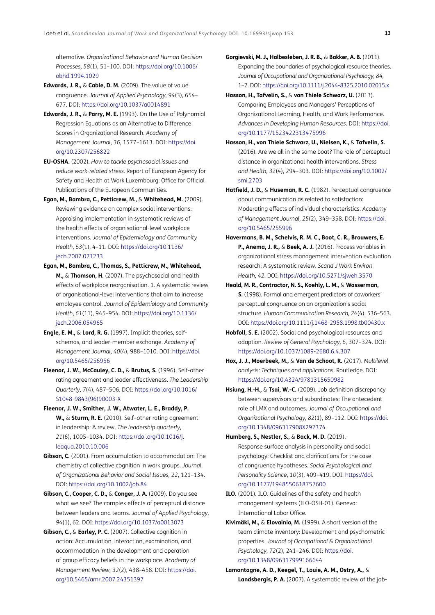alternative. *Organizational Behavior and Human Decision Processes, 58*(1), 51–100. DOI: [https://doi.org/10.1006/](https://doi.org/10.1006/obhd.1994.1029 ) [obhd.1994.1029](https://doi.org/10.1006/obhd.1994.1029 )

- <span id="page-12-5"></span>**Edwards, J. R.,** & **Cable, D. M.** (2009). The value of value congruence. *Journal of Applied Psychology, 94*(3), 654– 677. DOI: [https://doi.org/10.1037/a0014891](https://doi.org/10.1037/a0014891 )
- <span id="page-12-18"></span>**Edwards, J. R.,** & **Parry, M. E.** (1993). On the Use of Polynomial Regression Equations as an Alternative to Difference Scores in Organizational Research. *Academy of Management Journal, 36*, 1577–1613. DOI: [https://doi.](https://doi.org/10.2307/256822 ) [org/10.2307/256822](https://doi.org/10.2307/256822 )
- **EU-OSHA.** (2002). *How to tackle psychosocial issues and reduce work-related stress.* Report of European Agency for Safety and Health at Work Luxembourg: Office for Official Publications of the European Communities.
- <span id="page-12-1"></span>**Egan, M., Bambra, C., Petticrew, M.,** & **Whitehead, M.** (2009). Reviewing evidence on complex social interventions: Appraising implementation in systematic reviews of the health effects of organisational-level workplace interventions. *Journal of Epidemiology and Community Health, 63*(1), 4–11. DOI: [https://doi.org/10.1136/](https://doi.org/10.1136/jech.2007.071233) [jech.2007.071233](https://doi.org/10.1136/jech.2007.071233)
- <span id="page-12-2"></span>**Egan, M., Bambra, C., Thomas, S., Petticrew, M., Whitehead, M.,** & **Thomson, H.** (2007). The psychosocial and health effects of workplace reorganisation. 1. A systematic review of organisational-level interventions that aim to increase employee control. *Journal of Epidemiology and Community Health, 61*(11), 945–954. DOI: [https://doi.org/10.1136/](https://doi.org/10.1136/jech.2006.054965 ) [jech.2006.054965](https://doi.org/10.1136/jech.2006.054965 )
- <span id="page-12-8"></span>**Engle, E. M.,** & **Lord, R. G.** (1997). Implicit theories, selfschemas, and leader-member exchange. *Academy of Management Journal, 40*(4), 988–1010. DOI: [https://doi.](https://doi.org/10.5465/256956 ) [org/10.5465/256956](https://doi.org/10.5465/256956 )
- <span id="page-12-12"></span>**Fleenor, J. W., McCauley, C. D.,** & **Brutus, S.** (1996). Self-other rating agreement and leader effectiveness. *The Leadership Quarterly, 7*(4), 487–506. DOI: [https://doi.org/10.1016/](https://doi.org/10.1016/S1048-9843(96)90003-X ) [S1048-9843\(96\)90003-X](https://doi.org/10.1016/S1048-9843(96)90003-X )
- <span id="page-12-17"></span>**Fleenor, J. W., Smither, J. W., Atwater, L. E., Braddy, P. W.,** & **Sturm, R. E.** (2010). Self–other rating agreement in leadership: A review. *The leadership quarterly, 21*(6), 1005–1034. DOI: [https://doi.org/10.1016/j.](https://doi.org/10.1016/j.leaqua.2010.10.006 ) [leaqua.2010.10.006](https://doi.org/10.1016/j.leaqua.2010.10.006 )
- <span id="page-12-15"></span>**Gibson, C.** (2001). From accumulation to accommodation: The chemistry of collective cognition in work groups. *Journal of Organizational Behavior and Social Issues, 22*, 121–134. DOI: [https://doi.org/10.1002/job.84](https://doi.org/10.1002/job.84 )
- <span id="page-12-14"></span>**Gibson, C., Cooper, C. D.,** & **Conger, J. A.** (2009). Do you see what we see? The complex effects of perceptual distance between leaders and teams. *Journal of Applied Psychology, 94*(1), 62. DOI: [https://doi.org/10.1037/a0013073](https://doi.org/10.1037/a0013073 )
- <span id="page-12-16"></span>**Gibson, C.,** & **Earley, P. C.** (2007). Collective cognition in action: Accumulation, interaction, examination, and accommodation in the development and operation of group efficacy beliefs in the workplace. *Academy of Management Review, 32*(2), 438–458. DOI: [https://doi.](https://doi.org/10.5465/amr.2007.24351397 ) [org/10.5465/amr.2007.24351397](https://doi.org/10.5465/amr.2007.24351397 )

<span id="page-12-6"></span>**Gorgievski, M. J., Halbesleben, J. R. B.,** & **Bakker, A. B.** (2011). Expanding the boundaries of psychological resource theories. *Journal of Occupational and Organizational Psychology, 84,*  1–7. DOI: [https://doi.org/10.1111/j.2044-8325.2010.02015.x](https://doi.org/10.1111/j.2044-8325.2010.02015.x )

- <span id="page-12-13"></span>**Hasson, H., Tafvelin, S.,** & **von Thiele Schwarz, U.** (2013). Comparing Employees and Managers' Perceptions of Organizational Learning, Health, and Work Performance. *Advances in Developing Human Resources*. DOI: [https://doi.](https://doi.org/10.1177/1523422313475996 ) [org/10.1177/1523422313475996](https://doi.org/10.1177/1523422313475996 )
- <span id="page-12-4"></span>**Hasson, H., von Thiele Schwarz, U., Nielsen, K.,** & **Tafvelin, S.** (2016). Are we all in the same boat? The role of perceptual distance in organizational health interventions. *Stress and Health, 32*(4), 294–303. DOI: [https://doi.org/10.1002/](https://doi.org/10.1002/smi.2703 ) [smi.2703](https://doi.org/10.1002/smi.2703 )
- <span id="page-12-9"></span>**Hatfield, J. D.,** & **Huseman, R. C.** (1982). Perceptual congruence about communication as related to satisfaction: Moderating effects of individual characteristics. *Academy of Management Journal, 25*(2), 349–358. DOI: [https://doi.](https://doi.org/10.5465/255996 ) [org/10.5465/255996](https://doi.org/10.5465/255996 )
- <span id="page-12-20"></span>**Havermans, B. M., Schelvis, R. M. C., Boot, C. R., Brouwers, E. P., Anema, J. R.,** & **Beek, A. J.** (2016). Process variables in organizational stress management intervention evaluation research: A systematic review. *Scand J Work Environ Health, 42*. DOI: [https://doi.org/10.5271/sjweh.3570](https://doi.org/10.5271/sjweh.3570  )
- <span id="page-12-10"></span>**Heald, M. R., Contractor, N. S., Koehly, L. M.,** & **Wasserman, S.** (1998). Formal and emergent predictors of coworkers' perceptual congruence on an organization's social structure. *Human Communication Research, 24*(4), 536–563. DOI:<https://doi.org/10.1111/j.1468-2958.1998.tb00430.x>
- <span id="page-12-7"></span>**Hobfoll, S. E.** (2002). Social and psychological resources and adaption. *Review of General Psychology, 6,* 307–324. DOI: [https://doi.org/10.1037/1089-2680.6.4.307](https://doi.org/10.1037/1089-2680.6.4.307 )
- <span id="page-12-21"></span>**Hox, J. J., Moerbeek, M.,** & **Van de Schoot, R.** (2017). *Multilevel analysis: Techniques and applications*. Routledge. DOI: [https://doi.org/10.4324/9781315650982](https://doi.org/10.4324/9781315650982 )
- <span id="page-12-11"></span>**Hsiung, H.-H.,** & **Tsai, W.-C.** (2009). Job definition discrepancy between supervisors and subordinates: The antecedent role of LMX and outcomes. *Journal of Occupational and Organizational Psychology, 82*(1), 89–112. DOI: [https://doi.](https://doi.org/10.1348/096317908X292374 ) [org/10.1348/096317908X292374](https://doi.org/10.1348/096317908X292374 )
- <span id="page-12-19"></span>**Humberg, S., Nestler, S.,** & **Back, M. D.** (2019). Response surface analysis in personality and social psychology: Checklist and clarifications for the case of congruence hypotheses. *Social Psychological and Personality Science*, *10*(3), 409–419. DOI: [https://doi.](https://doi.org/10.1177/1948550618757600 ) [org/10.1177/1948550618757600](https://doi.org/10.1177/1948550618757600 )
- <span id="page-12-0"></span>**ILO.** (2001). ILO. Guidelines of the safety and health management systems (ILO-OSH-01). Geneva: International Labor Office.
- **Kivimäki, M.,** & **Elovainio, M.** (1999). A short version of the team climate inventory: Development and psychometric properties. *Journal of Occupational & Organizational Psychology, 72*(2), 241–246. DOI: [https://doi.](https://doi.org/10.1348/096317999166644 ) [org/10.1348/096317999166644](https://doi.org/10.1348/096317999166644 )
- <span id="page-12-3"></span>**Lamontagne, A. D., Keegel, T., Louie, A. M., Ostry, A.,** & **Landsbergis, P. A.** (2007). A systematic review of the job-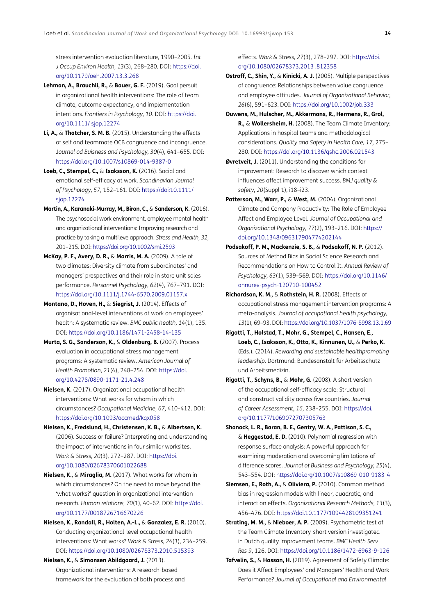stress intervention evaluation literature, 1990–2005. *Int J Occup Environ Health, 13*(3), 268–280. DOI: [https://doi.](https://doi.org/10.1179/oeh.2007.13.3.268 ) [org/10.1179/oeh.2007.13.3.268](https://doi.org/10.1179/oeh.2007.13.3.268 )

- <span id="page-13-8"></span>**Lehman, A., Brauchli, R.,** & **Bauer, G. F.** (2019). Goal persuit in organizational health interventions: The role of team climate, outcome expectancy, and implementation intentions. *Frontiers in Psychology, 10*. DOI: [https://doi.](https://doi.org/10.1111/ sjop.12274 ) [org/10.1111/ sjop.12274](https://doi.org/10.1111/ sjop.12274 )
- <span id="page-13-11"></span>**Li, A.,** & **Thatcher, S. M. B.** (2015). Understanding the effects of self and teammate OCB congruence and incongruence. J*ournal od Buisness and Psychology, 30*(4), 641–655. DOI: <https://doi.org/10.1007/s10869-014-9387-0>
- <span id="page-13-18"></span>**Loeb, C., Stempel, C.,** & **Isaksson, K.** (2016). Social and emotional self-efficacy at work. *Scandinavian Journal of Psychology, 57*, 152–161. DOI: [https://doi:10.1111/](https://doi:10.1111/sjop.12274 ) [sjop.12274](https://doi:10.1111/sjop.12274 )
- <span id="page-13-7"></span>**Martin, A., Karanaki-Murray, M., Biron, C.,** & **Sanderson, K.** (2016). The psychosocial work environment, employee mental health and organizational interventions: Improving research and practice by taking a multileve approach. *Stress and Health, 32*, 201–215. DOI: [https://doi.org/10.1002/smi.2593](https://doi.org/10.1002/smi.2593 )
- <span id="page-13-14"></span>**McKay, P. F., Avery, D. R.,** & **Morris, M. A.** (2009). A tale of two climates: Diversity climate from subordinates' and managers' prespectives and their role in store unit sales performance. *Personnel Psychology*, *62*(4), 767–791. DOI: <https://doi.org/10.1111/j.1744-6570.2009.01157.x>
- <span id="page-13-4"></span>**Montano, D., Hoven, H.,** & **Siegrist, J.** (2014). Effects of organisational-level interventions at work on employees' health: A systematic review. *BMC public health, 14*(1), 135. DOI: [https://doi.org/10.1186/1471-2458-14-135](https://doi.org/10.1186/1471-2458-14-135 )
- <span id="page-13-6"></span>**Murta, S. G., Sanderson, K.,** & **Oldenburg, B.** (2007). Process evaluation in occupational stress management programs: A systematic review. *American Journal of Health Promotion*, *21*(4), 248–254. DOI: [https://doi.](https://doi.org/10.4278/0890-1171-21.4.248 ) [org/10.4278/0890-1171-21.4.248](https://doi.org/10.4278/0890-1171-21.4.248 )
- <span id="page-13-1"></span>**Nielsen, K.** (2017). Organizational occupational health interventions: What works for whom in which circumstances? *Occupational Medicine, 67,* 410–412. DOI: [https://doi.org/10.1093/occmed/kqx058](https://doi.org/10.1093/occmed/kqx058 )
- <span id="page-13-15"></span>**Nielsen, K., Fredslund, H., Christensen, K. B.,** & **Albertsen, K.** (2006). Success or failure? Interpreting and understanding the impact of interventions in four similar worksites. *Work & Stress, 20*(3)*,* 272–287. DOI: [https://doi.](https://doi.org/10.1080/02678370601022688 ) [org/10.1080/02678370601022688](https://doi.org/10.1080/02678370601022688 )
- <span id="page-13-2"></span>**Nielsen, K.,** & **Miraglia, M.** (2017). What works for whom in which circumstances? On the need to move beyond the 'what works?' question in organizational intervention research. *Human relations, 70*(1), 40–62. DOI: [https://doi.](https://doi.org/10.1177/0018726716670226 ) [org/10.1177/0018726716670226](https://doi.org/10.1177/0018726716670226 )
- <span id="page-13-0"></span>**Nielsen, K., Randall, R., Holten, A.-L.,** & **Gonzalez, E. R.** (2010). Conducting organizational-level occupational health interventions: What works? *Work & Stress, 24*(3), 234–259. DOI: [https://doi.org/10.1080/02678373.2010.515393](https://doi.org/10.1080/02678373.2010.515393 )

<span id="page-13-5"></span>**Nielsen, K.,** & **Simonsen Abildgaard, J.** (2013). Organizational interventions: A research-based framework for the evaluation of both process and effects. *Work & Stress, 27*(3), 278–297. DOI: [https://doi.](https://doi.org/10.1080/02678373.2013 .812358 ) [org/10.1080/02678373.2013 .812358](https://doi.org/10.1080/02678373.2013 .812358 ) 

- <span id="page-13-13"></span>**Ostroff, C., Shin, Y.,** & **Kinicki, A. J.** (2005). Multiple perspectives of congruence: Relationships between value congruence and employee attitudes. *Journal of Organizational Behavior, 26*(6), 591–623. DOI: [https://doi.org/10.1002/job.333](https://doi.org/10.1002/job.333 )
- <span id="page-13-10"></span>**Ouwens, M., Hulscher, M., Akkermans, R., Hermens, R., Grol, R.,** & **Wollersheim, H.** (2008). The Team Climate Inventory: Applications in hospital teams and methodological considerations. *Quality and Safety in Health Care, 17,* 275– 280. DOI: [https://doi.org/10.1136/qshc.2006.021543](https://doi.org/10.1136/qshc.2006.021543 )
- **Øvretveit, J.** (2011). Understanding the conditions for improvement: Research to discover which context influences affect improvement success. *BMJ quality & safety*, *20*(Suppl 1), i18–i23.
- <span id="page-13-12"></span>Patterson, M., Warr, P., & West, M. (2004). Organizational Climate and Company Productivity: The Role of Employee Affect and Employee Level. *Journal of Occupational and Organizational Psychology, 77*(2), 193–216. DOI: [https://](https://doi.org/10.1348/096317904774202144 ) [doi.org/10.1348/096317904774202144](https://doi.org/10.1348/096317904774202144 )
- <span id="page-13-21"></span>**Podsakoff, P. M., Mackenzie, S. B.,** & **Podsakoff, N. P.** (2012). Sources of Method Bias in Social Science Research and Recommendations on How to Control It. *Annual Review of Psychology, 63*(1), 539–569. DOI: [https://doi.org/10.1146/](https://doi.org/10.1146/annurev-psych-120710-100452 ) [annurev-psych-120710-100452](https://doi.org/10.1146/annurev-psych-120710-100452 )
- <span id="page-13-3"></span>**Richardson, K. M.,** & **Rothstein, H. R.** (2008). Effects of occupational stress management intervention programs: A meta-analysis. *Journal of occupational health psychology, 13*(1), 69–93. DOI: [https://doi.org/10.1037/1076-8998.13.1.69](https://doi.org/10.1037/1076-8998.13.1.69 )
- <span id="page-13-16"></span>**Rigotti, T., Holstad, T., Mohr, G., Stempel, C., Hansen, E., Loeb, C., Isaksson, K., Otto, K., Kinnunen, U.,** & **Perko, K.** (Eds.). (2014). *Rewarding and sustainable healthpromoting leadership*. Dortmund: Bundesanstalt für Arbeitsschutz und Arbeitsmedizin.
- <span id="page-13-19"></span>**Rigotti, T., Schyns, B.,** & **Mohr, G.** (2008). A short version of the occupational self-efficacy scale: Structural and construct validity across five countries. *Journal of Career Assessment, 16*, 238–255. DOI: [https://doi.](https://doi.org/10.1177/1069072707305763  ) [org/10.1177/1069072707305763](https://doi.org/10.1177/1069072707305763  )
- <span id="page-13-20"></span>**Shanock, L. R., Baran, B. E., Gentry, W. A., Pattison, S. C.,**  & **Heggestad, E. D.** (2010). Polynomial regression with response surface analysis: A powerful approach for examining moderation and overcoming limitations of difference scores. *Journal of Business and Psychology, 25*(4), 543–554. DOI: [https://doi.org/10.1007/s10869-010-9183-4](https://doi.org/10.1007/s10869-010-9183-4 )
- <span id="page-13-22"></span>**Siemsen, E., Roth, A.,** & **Oliviera, P.** (2010). Common method bias in regression models with linear, quadratic, and interaction effects. *Organizational Research Methods, 13*(3), 456–476. DOI: [https://doi.10.1177/1094428109351241](https://doi.10.1177/1094428109351241 )
- <span id="page-13-17"></span>**Strating, M. M.,** & **Nieboer, A. P.** (2009). Psychometric test of the Team Climate Inventory-short version investigated in Dutch quality improvement teams. *BMC Health Serv Res 9*, 126. DOI: [https://doi.org/10.1186/1472-6963-9-126](https://doi.org/10.1186/1472-6963-9-126 )
- <span id="page-13-9"></span>**Tafvelin, S.,** & **Hasson, H.** (2019). Agreement of Safety Climate: Does it Affect Employees' and Managers' Health and Work Performance? *Journal of Occupational and Environmental*